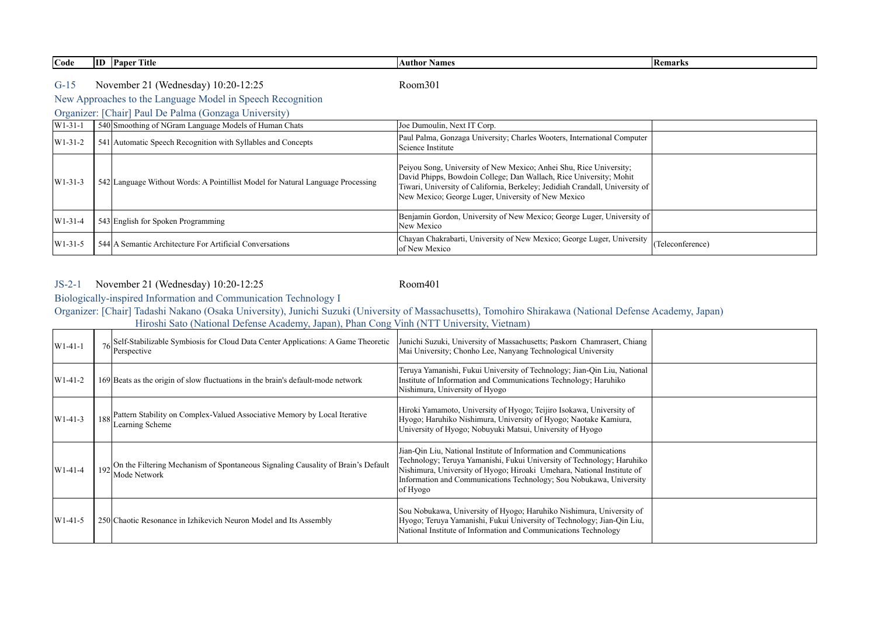| $\sim$<br>Code | m<br>ш | rane.<br><b>Paper</b><br>Fitle | Author Names | <b>I</b> Kemarks |
|----------------|--------|--------------------------------|--------------|------------------|
|                |        |                                |              |                  |

G-15 Room301 November 21 (Wednesday) 10:20-12:25

New Approaches to the Language Model in Speech Recognition

Organizer: [Chair] Paul De Palma (Gonzaga University)

| $W1-31-1$   | 540 Smoothing of NGram Language Models of Human Chats                           | Joe Dumoulin, Next IT Corp.                                                                                                                                                                                                                                                    |                  |
|-------------|---------------------------------------------------------------------------------|--------------------------------------------------------------------------------------------------------------------------------------------------------------------------------------------------------------------------------------------------------------------------------|------------------|
| $ W1-31-2 $ | 541 Automatic Speech Recognition with Syllables and Concepts                    | Paul Palma, Gonzaga University; Charles Wooters, International Computer<br>Science Institute                                                                                                                                                                                   |                  |
| $W1-31-3$   | 542 Language Without Words: A Pointillist Model for Natural Language Processing | Peiyou Song, University of New Mexico; Anhei Shu, Rice University;<br>David Phipps, Bowdoin College; Dan Wallach, Rice University; Mohit<br>Tiwari, University of California, Berkeley; Jedidiah Crandall, University of<br>New Mexico; George Luger, University of New Mexico |                  |
| $ W1-31-4 $ | 543 English for Spoken Programming                                              | Benjamin Gordon, University of New Mexico; George Luger, University of<br>New Mexico                                                                                                                                                                                           |                  |
| $W1-31-5$   | 544 A Semantic Architecture For Artificial Conversations                        | Chayan Chakrabarti, University of New Mexico; George Luger, University<br>of New Mexico                                                                                                                                                                                        | (Teleconference) |

#### JS-2-1 Room401 November 21 (Wednesday) 10:20-12:25

Biologically-inspired Information and Communication Technology I

Organizer: [Chair] Tadashi Nakano (Osaka University), Junichi Suzuki (University of Massachusetts), Tomohiro Shirakawa (National Defense Academy, Japan) Hiroshi Sato (National Defense Academy, Japan), Phan Cong Vinh (NTT University, Vietnam)

| $W1-41-1$ | $\sim$ Self-Stabilizable Symbiosis for Cloud Data Center Applications: A Game Theoretic<br>Perspective | Junichi Suzuki, University of Massachusetts; Paskorn Chamrasert, Chiang<br>Mai University; Chonho Lee, Nanyang Technological University                                                                                                                                                                   |  |
|-----------|--------------------------------------------------------------------------------------------------------|-----------------------------------------------------------------------------------------------------------------------------------------------------------------------------------------------------------------------------------------------------------------------------------------------------------|--|
| $W1-41-2$ | 169 Beats as the origin of slow fluctuations in the brain's default-mode network                       | Teruya Yamanishi, Fukui University of Technology; Jian-Qin Liu, National<br>Institute of Information and Communications Technology; Haruhiko<br>Nishimura, University of Hyogo                                                                                                                            |  |
| $W1-41-3$ | 188 Pattern Stability on Complex-Valued Associative Memory by Local Iterative<br>Learning Scheme       | Hiroki Yamamoto, University of Hyogo; Teijiro Isokawa, University of<br>Hyogo; Haruhiko Nishimura, University of Hyogo; Naotake Kamiura,<br>University of Hyogo; Nobuyuki Matsui, University of Hyogo                                                                                                     |  |
| $W1-41-4$ | 192 On the Filtering Mechanism of Spontaneous Signaling Causality of Brain's Default<br>Mode Network   | Jian-Qin Liu, National Institute of Information and Communications<br>Technology; Teruya Yamanishi, Fukui University of Technology; Haruhiko<br>Nishimura, University of Hyogo; Hiroaki Umehara, National Institute of<br>Information and Communications Technology; Sou Nobukawa, University<br>of Hyogo |  |
| $W1-41-5$ | 250 Chaotic Resonance in Izhikevich Neuron Model and Its Assembly                                      | Sou Nobukawa, University of Hyogo; Haruhiko Nishimura, University of<br>Hyogo; Teruya Yamanishi, Fukui University of Technology; Jian-Qin Liu,<br>National Institute of Information and Communications Technology                                                                                         |  |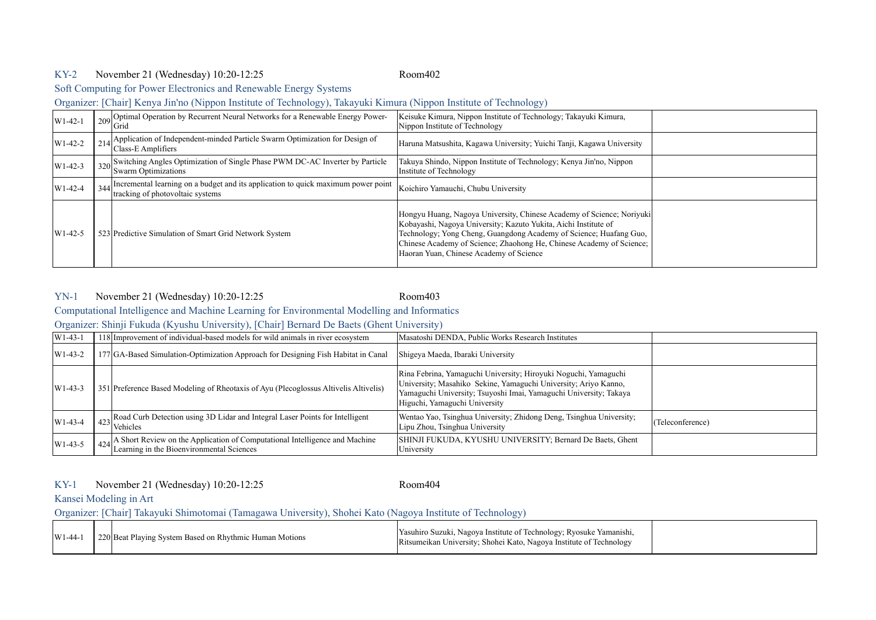## KY-2 Room402 November 21 (Wednesday) 10:20-12:25

Soft Computing for Power Electronics and Renewable Energy Systems

Organizer: [Chair] Kenya Jin'no (Nippon Institute of Technology), Takayuki Kimura (Nippon Institute of Technology)

| $W1-42-1$   | 209 Optimal Operation by Recurrent Neural Networks for a Renewable Energy Power-<br>Grid                                  | Keisuke Kimura, Nippon Institute of Technology; Takayuki Kimura,<br>Nippon Institute of Technology                                                                                                                                                                                                                                |  |
|-------------|---------------------------------------------------------------------------------------------------------------------------|-----------------------------------------------------------------------------------------------------------------------------------------------------------------------------------------------------------------------------------------------------------------------------------------------------------------------------------|--|
| $ W1-42-2 $ | 214 Application of Independent-minded Particle Swarm Optimization for Design of<br>Class-E Amplifiers                     | Haruna Matsushita, Kagawa University; Yuichi Tanji, Kagawa University                                                                                                                                                                                                                                                             |  |
| $W1-42-3$   | 320 Switching Angles Optimization of Single Phase PWM DC-AC Inverter by Particle<br><b>Swarm Optimizations</b>            | Takuya Shindo, Nippon Institute of Technology; Kenya Jin'no, Nippon<br>Institute of Technology                                                                                                                                                                                                                                    |  |
| $W1-42-4$   | 344 Incremental learning on a budget and its application to quick maximum power point<br>tracking of photovoltaic systems | Koichiro Yamauchi, Chubu University                                                                                                                                                                                                                                                                                               |  |
| $W1-42-5$   | 523 Predictive Simulation of Smart Grid Network System                                                                    | Hongyu Huang, Nagoya University, Chinese Academy of Science; Noriyuki<br>Kobayashi, Nagoya University; Kazuto Yukita, Aichi Institute of<br>Technology; Yong Cheng, Guangdong Academy of Science; Huafang Guo,<br>Chinese Academy of Science; Zhaohong He, Chinese Academy of Science;<br>Haoran Yuan, Chinese Academy of Science |  |

### YN-1 Room403 November 21 (Wednesday) 10:20-12:25

Computational Intelligence and Machine Learning for Environmental Modelling and Informatics

Organizer: Shinji Fukuda (Kyushu University), [Chair] Bernard De Baets (Ghent University)

| $ W1-43-1 $      | 118 Improvement of individual-based models for wild animals in river ecosystem                                                           | Masatoshi DENDA, Public Works Research Institutes                                                                                                                                                                                        |                  |
|------------------|------------------------------------------------------------------------------------------------------------------------------------------|------------------------------------------------------------------------------------------------------------------------------------------------------------------------------------------------------------------------------------------|------------------|
| $\text{W1-43-2}$ | 177 GA-Based Simulation-Optimization Approach for Designing Fish Habitat in Canal                                                        | Shigeya Maeda, Ibaraki University                                                                                                                                                                                                        |                  |
| $ W1-43-3$       | 351 Preference Based Modeling of Rheotaxis of Ayu (Plecoglossus Altivelis Altivelis)                                                     | Rina Febrina, Yamaguchi University; Hiroyuki Noguchi, Yamaguchi<br>University; Masahiko Sekine, Yamaguchi University; Ariyo Kanno,<br>Yamaguchi University; Tsuyoshi Imai, Yamaguchi University; Takaya<br>Higuchi, Yamaguchi University |                  |
| $W1-43-4$        | Anal Road Curb Detection using 3D Lidar and Integral Laser Points for Intelligent<br>$ ^{23} $ Vehicles                                  | Wentao Yao, Tsinghua University; Zhidong Deng, Tsinghua University;<br>Lipu Zhou, Tsinghua University                                                                                                                                    | (Teleconference) |
| $W1-43-5$        | $\frac{1}{424}$ A Short Review on the Application of Computational Intelligence and Machine<br>Learning in the Bioenvironmental Sciences | SHINJI FUKUDA, KYUSHU UNIVERSITY; Bernard De Baets, Ghent<br>University                                                                                                                                                                  |                  |

KY-1 Room404 November 21 (Wednesday) 10:20-12:25

### Kansei Modeling in Art

Organizer: [Chair] Takayuki Shimotomai (Tamagawa University), Shohei Kato (Nagoya Institute of Technology)

| $\text{W1-44}$ |  | 220 Beat Playing System Based on Rhythmic Human Motions | Yasuhiro Suzuki, Nagoya Institute of Technology; Ryosuke Yamanishi,<br>Ritsumeikan University; Shohei Kato, Nagoya Institute of Technology |  |
|----------------|--|---------------------------------------------------------|--------------------------------------------------------------------------------------------------------------------------------------------|--|
|----------------|--|---------------------------------------------------------|--------------------------------------------------------------------------------------------------------------------------------------------|--|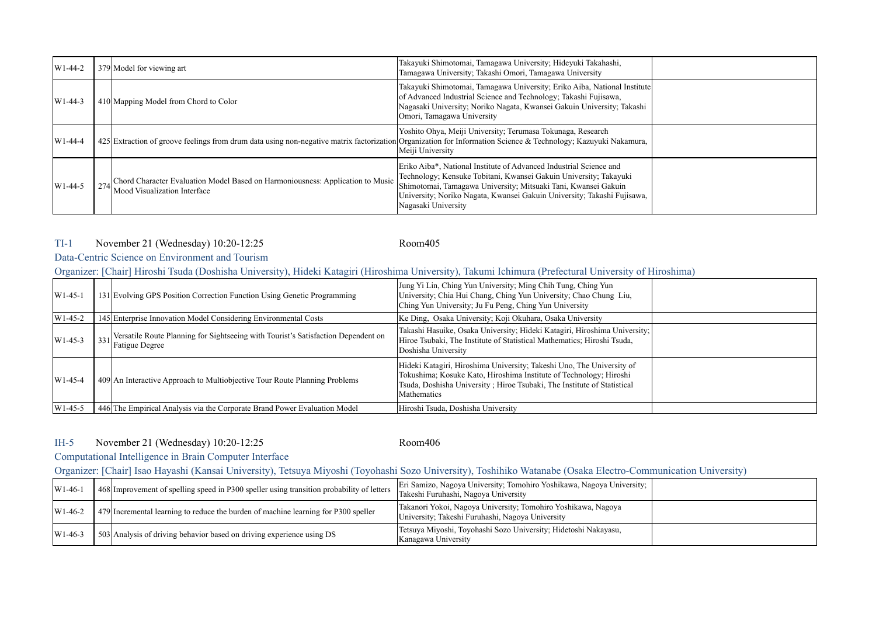| $W1-44-2$ | 379 Model for viewing art                                                                                                                                      | Takayuki Shimotomai, Tamagawa University; Hideyuki Takahashi,<br>Tamagawa University; Takashi Omori, Tamagawa University                                                                                                                                                                                    |  |
|-----------|----------------------------------------------------------------------------------------------------------------------------------------------------------------|-------------------------------------------------------------------------------------------------------------------------------------------------------------------------------------------------------------------------------------------------------------------------------------------------------------|--|
| $W1-44-3$ | 410 Mapping Model from Chord to Color                                                                                                                          | Takayuki Shimotomai, Tamagawa University; Eriko Aiba, National Institute<br>of Advanced Industrial Science and Technology; Takashi Fujisawa,<br>Nagasaki University; Noriko Nagata, Kwansei Gakuin University; Takashi<br>Omori, Tamagawa University                                                        |  |
| $W1-44-4$ | 425 Extraction of groove feelings from drum data using non-negative matrix factorization of promation for Information Science & Technology; Kazuvuki Nakamura, | Yoshito Ohya, Meiji University; Terumasa Tokunaga, Research<br>Meiji University                                                                                                                                                                                                                             |  |
| $W1-44-5$ | 274 Chord Character Evaluation Model Based on Harmoniousness: Application to Music<br>Mood Visualization Interface                                             | Eriko Aiba*, National Institute of Advanced Industrial Science and<br>Technology; Kensuke Tobitani, Kwansei Gakuin University; Takayuki<br>Shimotomai, Tamagawa University; Mitsuaki Tani, Kwansei Gakuin<br>University; Noriko Nagata, Kwansei Gakuin University; Takashi Fujisawa,<br>Nagasaki University |  |

# TI-1 Room405 November 21 (Wednesday) 10:20-12:25

# Data-Centric Science on Environment and Tourism

Organizer: [Chair] Hiroshi Tsuda (Doshisha University), Hideki Katagiri (Hiroshima University), Takumi Ichimura (Prefectural University of Hiroshima)

| $W1-45-1$ | 131 Evolving GPS Position Correction Function Using Genetic Programming                                        | Jung Yi Lin, Ching Yun University; Ming Chih Tung, Ching Yun<br>University; Chia Hui Chang, Ching Yun University; Chao Chung Liu,<br>Ching Yun University; Ju Fu Peng, Ching Yun University                                           |  |
|-----------|----------------------------------------------------------------------------------------------------------------|---------------------------------------------------------------------------------------------------------------------------------------------------------------------------------------------------------------------------------------|--|
| $W1-45-2$ | 145 Enterprise Innovation Model Considering Environmental Costs                                                | Ke Ding, Osaka University; Koji Okuhara, Osaka University                                                                                                                                                                             |  |
| $W1-45-3$ | 331 Versatile Route Planning for Sightseeing with Tourist's Satisfaction Dependent on<br><b>Fatigue Degree</b> | Takashi Hasuike, Osaka University; Hideki Katagiri, Hiroshima University;<br>Hiroe Tsubaki, The Institute of Statistical Mathematics; Hiroshi Tsuda,<br>Doshisha University                                                           |  |
| $W1-45-4$ | 409 An Interactive Approach to Multiobjective Tour Route Planning Problems                                     | Hideki Katagiri, Hiroshima University; Takeshi Uno, The University of<br>Tokushima; Kosuke Kato, Hiroshima Institute of Technology; Hiroshi<br>Tsuda, Doshisha University; Hiroe Tsubaki, The Institute of Statistical<br>Mathematics |  |
| $W1-45-5$ | 446 The Empirical Analysis via the Corporate Brand Power Evaluation Model                                      | Hiroshi Tsuda, Doshisha University                                                                                                                                                                                                    |  |

# IH-5 Room406 November 21 (Wednesday) 10:20-12:25

# Computational Intelligence in Brain Computer Interface

Organizer: [Chair] Isao Hayashi (Kansai University), Tetsuya Miyoshi (Toyohashi Sozo University), Toshihiko Watanabe (Osaka Electro-Communication University)

| $ W1-46-$        | 468 Improvement of spelling speed in P300 speller using transition probability of letters | Eri Samizo, Nagoya University; Tomohiro Yoshikawa, Nagoya University;<br>Takeshi Furuhashi, Nagoya University     |  |
|------------------|-------------------------------------------------------------------------------------------|-------------------------------------------------------------------------------------------------------------------|--|
| $W1-46-2$        | 479 Incremental learning to reduce the burden of machine learning for P300 speller        | Takanori Yokoi, Nagoya University; Tomohiro Yoshikawa, Nagoya<br>University; Takeshi Furuhashi, Nagoya University |  |
| $\text{W1-46-3}$ | 503 Analysis of driving behavior based on driving experience using DS                     | Tetsuva Miyoshi, Toyohashi Sozo University; Hidetoshi Nakayasu,<br>Kanagawa University                            |  |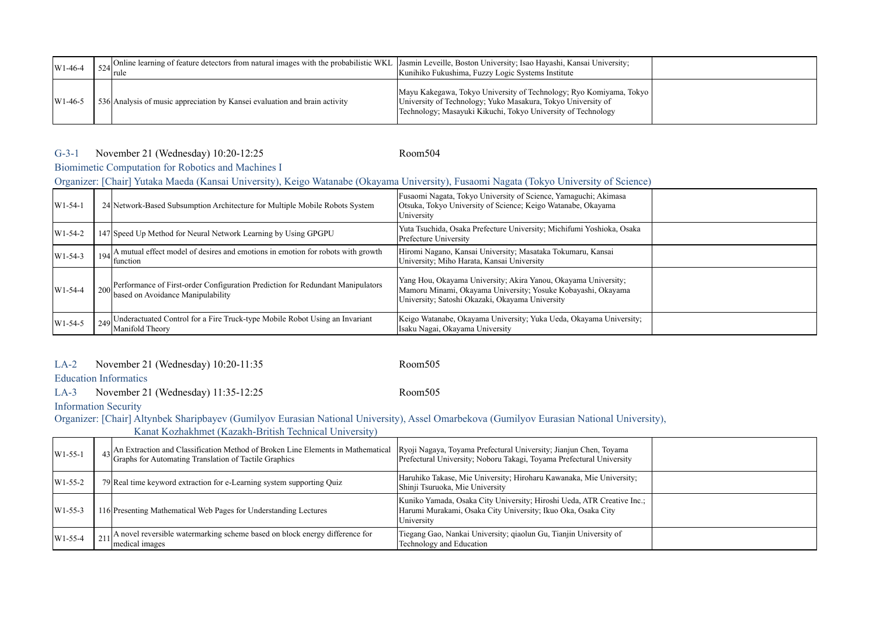| $W1-46-4$ | 524 Online learning of feature detectors from natural images with the probabilistic WKL Jasmin Leveille, Boston University; Isao Hayashi, Kansai University;<br><b>Irule</b> | Kunihiko Fukushima, Fuzzy Logic Systems Institute                                                                                                                                                    |  |
|-----------|------------------------------------------------------------------------------------------------------------------------------------------------------------------------------|------------------------------------------------------------------------------------------------------------------------------------------------------------------------------------------------------|--|
| $W1-46-5$ | 536 Analysis of music appreciation by Kansei evaluation and brain activity                                                                                                   | Mayu Kakegawa, Tokyo University of Technology; Ryo Komiyama, Tokyo  <br>University of Technology; Yuko Masakura, Tokyo University of<br>Technology; Masayuki Kikuchi, Tokyo University of Technology |  |

## G-3-1 Room504 November 21 (Wednesday) 10:20-12:25

Biomimetic Computation for Robotics and Machines I

# Organizer: [Chair] Yutaka Maeda (Kansai University), Keigo Watanabe (Okayama University), Fusaomi Nagata (Tokyo University of Science)

| $W1-54-1$ | 24 Network-Based Subsumption Architecture for Multiple Mobile Robots System                                             | Fusaomi Nagata, Tokyo University of Science, Yamaguchi; Akimasa<br>Otsuka, Tokyo University of Science; Keigo Watanabe, Okayama<br>University                                     |  |
|-----------|-------------------------------------------------------------------------------------------------------------------------|-----------------------------------------------------------------------------------------------------------------------------------------------------------------------------------|--|
| $W1-54-2$ | 147 Speed Up Method for Neural Network Learning by Using GPGPU                                                          | Yuta Tsuchida, Osaka Prefecture University; Michifumi Yoshioka, Osaka<br>Prefecture University                                                                                    |  |
| $W1-54-3$ | $194$ <sup>2</sup> A mutual effect model of desires and emotions in emotion for robots with growth<br>function          | Hiromi Nagano, Kansai University; Masataka Tokumaru, Kansai<br>University; Miho Harata, Kansai University                                                                         |  |
| $W1-54-4$ | 200 Performance of First-order Configuration Prediction for Redundant Manipulators<br>based on Avoidance Manipulability | Yang Hou, Okayama University; Akira Yanou, Okayama University;<br>Mamoru Minami, Okayama University; Yosuke Kobayashi, Okayama<br>University; Satoshi Okazaki, Okayama University |  |
| $W1-54-5$ | 249 Underactuated Control for a Fire Truck-type Mobile Robot Using an Invariant<br>Manifold Theory                      | Keigo Watanabe, Okayama University; Yuka Ueda, Okayama University;<br>Isaku Nagai, Okayama University                                                                             |  |

### LA-2 Room505 November 21 (Wednesday) 10:20-11:35

Education Informatics

LA-3 Room505 November 21 (Wednesday) 11:35-12:25

Information Security

Organizer: [Chair] Altynbek Sharipbayev (Gumilyov Eurasian National University), Assel Omarbekova (Gumilyov Eurasian National University),

| Kanat Kozhakhmet (Kazakh-British Technical University) |
|--------------------------------------------------------|
|--------------------------------------------------------|

| $W1-55-1$ | $\left  \frac{43}{2} \right $ An Extraction and Classification Method of Broken Line Elements in Mathematical<br>Graphs for Automating Translation of Tactile Graphics | Ryoji Nagaya, Toyama Prefectural University; Jianjun Chen, Toyama<br>Prefectural University; Noboru Takagi, Toyama Prefectural University            |  |
|-----------|------------------------------------------------------------------------------------------------------------------------------------------------------------------------|------------------------------------------------------------------------------------------------------------------------------------------------------|--|
| $W1-55-2$ | 79 Real time keyword extraction for e-Learning system supporting Quiz                                                                                                  | Haruhiko Takase, Mie University; Hiroharu Kawanaka, Mie University;<br>Shinji Tsuruoka, Mie University                                               |  |
| $W1-55-3$ | 116 Presenting Mathematical Web Pages for Understanding Lectures                                                                                                       | Kuniko Yamada, Osaka City University; Hiroshi Ueda, ATR Creative Inc.;<br>Harumi Murakami, Osaka City University; Ikuo Oka, Osaka City<br>University |  |
| $W1-55-4$ | $\sim$ A novel reversible watermarking scheme based on block energy difference for<br>medical images                                                                   | Tiegang Gao, Nankai University; qiaolun Gu, Tianjin University of<br>Technology and Education                                                        |  |